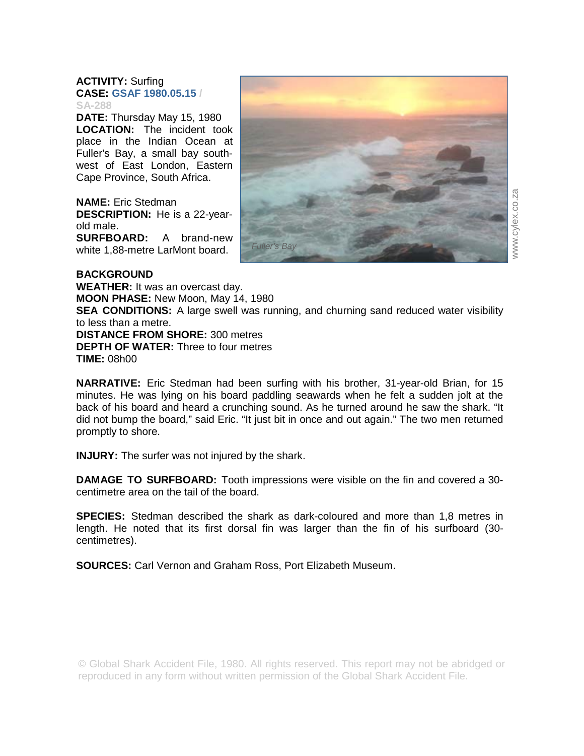## **ACTIVITY:** Surfing **CASE: GSAF 1980.05.15 / SA-288**

**DATE:** Thursday May 15, 1980 **LOCATION:** The incident took place in the Indian Ocean at Fuller's Bay, a small bay southwest of East London, Eastern Cape Province, South Africa.

**NAME:** Eric Stedman **DESCRIPTION:** He is a 22-yearold male. **SURFBOARD:** A brand-new white 1,88-metre LarMont board.



## **BACKGROUND**

**WEATHER:** It was an overcast day. **MOON PHASE:** New Moon, May 14, 1980 **SEA CONDITIONS:** A large swell was running, and churning sand reduced water visibility to less than a metre. **DISTANCE FROM SHORE:** 300 metres **DEPTH OF WATER:** Three to four metres **TIME:** 08h00

**NARRATIVE:** Eric Stedman had been surfing with his brother, 31-year-old Brian, for 15 minutes. He was lying on his board paddling seawards when he felt a sudden jolt at the back of his board and heard a crunching sound. As he turned around he saw the shark. "It did not bump the board," said Eric. "It just bit in once and out again." The two men returned promptly to shore.

**INJURY:** The surfer was not injured by the shark.

**DAMAGE TO SURFBOARD:** Tooth impressions were visible on the fin and covered a 30 centimetre area on the tail of the board.

**SPECIES:** Stedman described the shark as dark-coloured and more than 1,8 metres in length. He noted that its first dorsal fin was larger than the fin of his surfboard (30 centimetres).

**SOURCES:** Carl Vernon and Graham Ross, Port Elizabeth Museum.